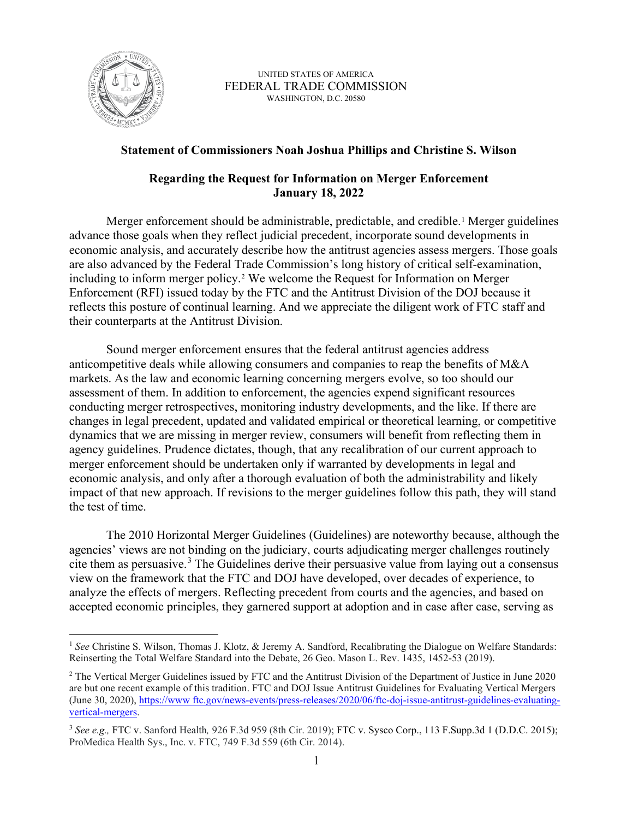

UNITED STATES OF AMERICA FEDERAL TRADE COMMISSION WASHINGTON, D.C. 20580

## **Statement of Commissioners Noah Joshua Phillips and Christine S. Wilson**

## **Regarding the Request for Information on Merger Enforcement January 18, 2022**

 reflects this posture of continual learning. And we appreciate the diligent work of FTC staff and Merger enforcement should be administrable, predictable, and credible.<sup>1</sup> Merger guidelines advance those goals when they reflect judicial precedent, incorporate sound developments in economic analysis, and accurately describe how the antitrust agencies assess mergers. Those goals are also advanced by the Federal Trade Commission's long history of critical self-examination, including to inform merger policy.[2](#page-0-1) We welcome the Request for Information on Merger Enforcement (RFI) issued today by the FTC and the Antitrust Division of the DOJ because it their counterparts at the Antitrust Division.

Sound merger enforcement ensures that the federal antitrust agencies address anticompetitive deals while allowing consumers and companies to reap the benefits of M&A markets. As the law and economic learning concerning mergers evolve, so too should our assessment of them. In addition to enforcement, the agencies expend significant resources conducting merger retrospectives, monitoring industry developments, and the like. If there are changes in legal precedent, updated and validated empirical or theoretical learning, or competitive dynamics that we are missing in merger review, consumers will benefit from reflecting them in agency guidelines. Prudence dictates, though, that any recalibration of our current approach to merger enforcement should be undertaken only if warranted by developments in legal and economic analysis, and only after a thorough evaluation of both the administrability and likely impact of that new approach. If revisions to the merger guidelines follow this path, they will stand the test of time.

The 2010 Horizontal Merger Guidelines (Guidelines) are noteworthy because, although the agencies' views are not binding on the judiciary, courts adjudicating merger challenges routinely cite them as persuasive.<sup>[3](#page-0-2)</sup> The Guidelines derive their persuasive value from laying out a consensus view on the framework that the FTC and DOJ have developed, over decades of experience, to analyze the effects of mergers. Reflecting precedent from courts and the agencies, and based on accepted economic principles, they garnered support at adoption and in case after case, serving as

<span id="page-0-0"></span><sup>&</sup>lt;sup>1</sup> See Christine S. Wilson, Thomas J. Klotz, & Jeremy A. Sandford, Recalibrating the Dialogue on Welfare Standards: Reinserting the Total Welfare Standard into the Debate, 26 Geo. Mason L. Rev. 1435, 1452-53 (2019).

<span id="page-0-1"></span><sup>&</sup>lt;sup>2</sup> The Vertical Merger Guidelines issued by FTC and the Antitrust Division of the Department of Justice in June 2020 are but one recent example of this tradition. FTC and DOJ Issue Antitrust Guidelines for Evaluating Vertical Mergers (June 30, 2020)[, https://www ftc.gov/news-events/press-releases/2020/06/ftc-doj-issue-antitrust-guidelines-evaluating](https://www.ftc.gov/news-events/press-releases/2020/06/ftc-doj-issue-antitrust-guidelines-evaluating-vertical-mergers)[vertical-mergers.](https://www.ftc.gov/news-events/press-releases/2020/06/ftc-doj-issue-antitrust-guidelines-evaluating-vertical-mergers)

<span id="page-0-2"></span><sup>3</sup>*See e.g.,* FTC v. Sanford Health*,* 926 F.3d 959 (8th Cir. 2019); FTC v. Sysco Corp., 113 [F.Supp.3d](https://F.Supp.3d) 1 (D.D.C. 2015); ProMedica Health Sys., Inc. v. FTC, 749 F.3d 559 (6th Cir. 2014).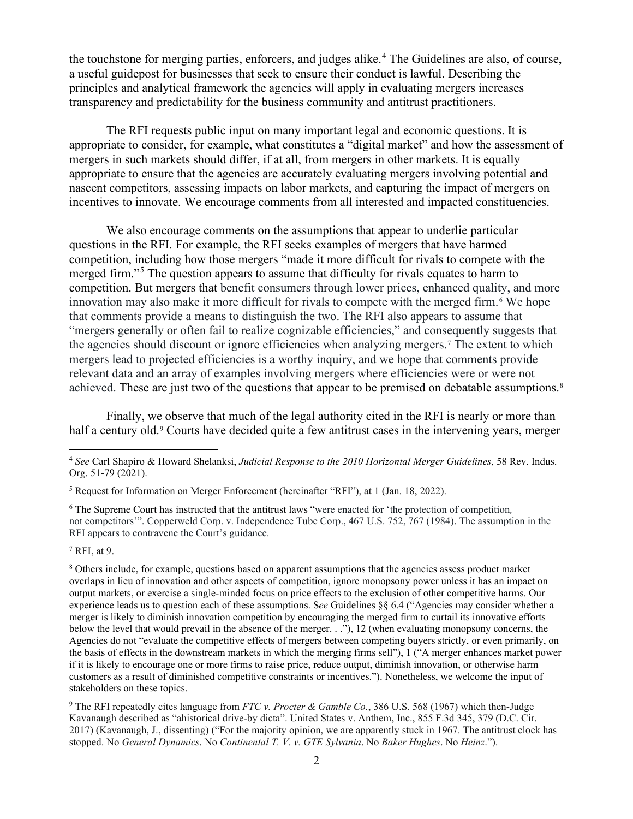the touchstone for merging parties, enforcers, and judges alike.<sup>4</sup> The Guidelines are also, of course, a useful guidepost for businesses that seek to ensure their conduct is lawful. Describing the principles and analytical framework the agencies will apply in evaluating mergers increases transparency and predictability for the business community and antitrust practitioners.

 incentives to innovate. We encourage comments from all interested and impacted constituencies. We also encourage comments on the assumptions that appear to underlie particular The RFI requests public input on many important legal and economic questions. It is appropriate to consider, for example, what constitutes a "digital market" and how the assessment of mergers in such markets should differ, if at all, from mergers in other markets. It is equally appropriate to ensure that the agencies are accurately evaluating mergers involving potential and nascent competitors, assessing impacts on labor markets, and capturing the impact of mergers on

We also encourage comments on the assumptions that appear to underlie particular questions in the RFI. For example, the RFI seeks examples of mergers that have harmed competition, including how those mergers "made it more difficult for rivals to compete with the merged firm."<sup>5</sup> The question appears to assume that difficulty for rivals equates to harm to competition. But mergers that benefit consumers through lower prices, enhanced quality, and more that comments provide a means to distinguish the two. The RFI also appears to assume that the agencies should discount or ignore efficiencies when analyzing mergers.[7](#page-1-3) The extent to which innovation may also make it more difficult for rivals to compete with the merged firm.<sup>[6](#page-1-2)</sup> We hope "mergers generally or often fail to realize cognizable efficiencies," and consequently suggests that mergers lead to projected efficiencies is a worthy inquiry, and we hope that comments provide relevant data and an array of examples involving mergers where efficiencies were or were not achieved. These are just two of the questions that appear to be premised on debatable assumptions.<sup>8</sup>

Finally, we observe that much of the legal authority cited in the RFI is nearly or more than half a century old.<sup>[9](#page-1-5)</sup> Courts have decided quite a few antitrust cases in the intervening years, merger

<span id="page-1-2"></span>6 The Supreme Court has instructed that the antitrust laws "were enacted for 'the protection of competition*,*  not competitors'". Copperweld Corp. v. Independence Tube Corp., 467 U.S. 752, 767 (1984). The assumption in the RFI appears to contravene the Court's guidance.

<span id="page-1-3"></span> $^7$  RFI, at 9.

<span id="page-1-4"></span> below the level that would prevail in the absence of the merger. . ."), 12 (when evaluating monopsony concerns, the if it is likely to encourage one or more firms to raise price, reduce output, diminish innovation, or otherwise harm 8 Others include, for example, questions based on apparent assumptions that the agencies assess product market overlaps in lieu of innovation and other aspects of competition, ignore monopsony power unless it has an impact on output markets, or exercise a single-minded focus on price effects to the exclusion of other competitive harms. Our experience leads us to question each of these assumptions. S*ee* Guidelines §§ 6.4 ("Agencies may consider whether a merger is likely to diminish innovation competition by encouraging the merged firm to curtail its innovative efforts Agencies do not "evaluate the competitive effects of mergers between competing buyers strictly, or even primarily, on the basis of effects in the downstream markets in which the merging firms sell"), 1 ("A merger enhances market power customers as a result of diminished competitive constraints or incentives."). Nonetheless, we welcome the input of stakeholders on these topics.

<span id="page-1-5"></span>9 The RFI repeatedly cites language from *FTC v. Procter & Gamble Co.*, 386 U.S. 568 (1967) which then-Judge Kavanaugh described as "ahistorical drive-by dicta". United States v. Anthem, Inc., 855 F.3d 345, 379 (D.C. Cir. 2017) (Kavanaugh, J., dissenting) ("For the majority opinion, we are apparently stuck in 1967. The antitrust clock has stopped. No *General Dynamics*. No *Continental T. V. v. GTE Sylvania*. No *Baker Hughes*. No *Heinz*.").

<span id="page-1-0"></span><sup>4</sup>*See* Carl Shapiro & Howard Shelanksi, *Judicial Response to the 2010 Horizontal Merger Guidelines*, 58 Rev. Indus. Org. 51-79 (2021).

<span id="page-1-1"></span><sup>5</sup> Request for Information on Merger Enforcement (hereinafter "RFI"), at 1 (Jan. 18, 2022).